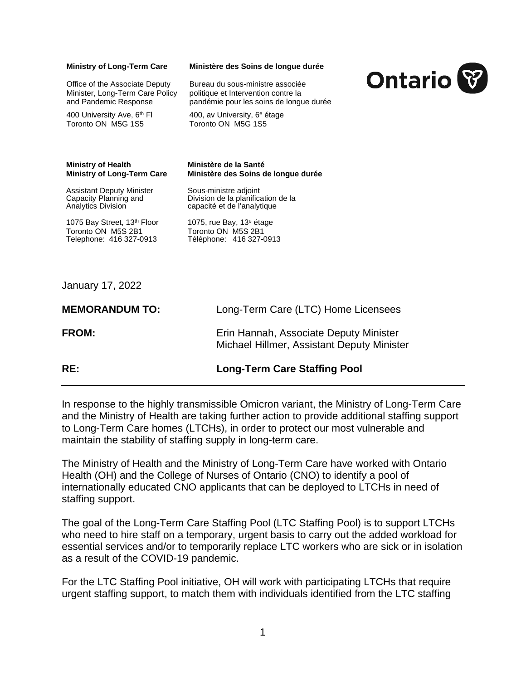## **Ministry of Long-Term Care**

Office of the Associate Deputy Minister, Long-Term Care Policy and Pandemic Response

400 University Ave, 6<sup>th</sup> FI Toronto ON M5G 1S5

## **Ministère des Soins de longue durée**

Bureau du sous-ministre associée politique et Intervention contre la pandémie pour les soins de longue durée

400, av University, 6e étage Toronto ON M5G 1S5



## **Ministry of Health Ministère de la Santé**

Assistant Deputy Minister<br>
Capacity Planning and 
Sous-ministre adjoint

Capacity Planning and
Sous-Division de la planifica

1075 Bay Street, 13<sup>th</sup> Floor 1075, rue Bay, 13<sup>e</sup> étage Toronto ON M5S 2B1 Toronto ON M5S 2B1<br>Telephone: 416 327-0913 Téléphone: 416 327-0

**Ministère des Soins de longue durée** 

Capacity Planning and Division de la planification de la<br>Analytics Division capacité et de l'analytique capacité et de l'analytique

Telephone: 416 327-0913 Téléphone: 416 327-0913

January 17, 2022

| RE:                   | <b>Long-Term Care Staffing Pool</b>                                                  |
|-----------------------|--------------------------------------------------------------------------------------|
| <b>FROM:</b>          | Erin Hannah, Associate Deputy Minister<br>Michael Hillmer, Assistant Deputy Minister |
| <b>MEMORANDUM TO:</b> | Long-Term Care (LTC) Home Licensees                                                  |

In response to the highly transmissible Omicron variant, the Ministry of Long-Term Care and the Ministry of Health are taking further action to provide additional staffing support to Long-Term Care homes (LTCHs), in order to protect our most vulnerable and maintain the stability of staffing supply in long-term care.

The Ministry of Health and the Ministry of Long-Term Care have worked with Ontario Health (OH) and the College of Nurses of Ontario (CNO) to identify a pool of internationally educated CNO applicants that can be deployed to LTCHs in need of staffing support.

The goal of the Long-Term Care Staffing Pool (LTC Staffing Pool) is to support LTCHs who need to hire staff on a temporary, urgent basis to carry out the added workload for essential services and/or to temporarily replace LTC workers who are sick or in isolation as a result of the COVID-19 pandemic.

For the LTC Staffing Pool initiative, OH will work with participating LTCHs that require urgent staffing support, to match them with individuals identified from the LTC staffing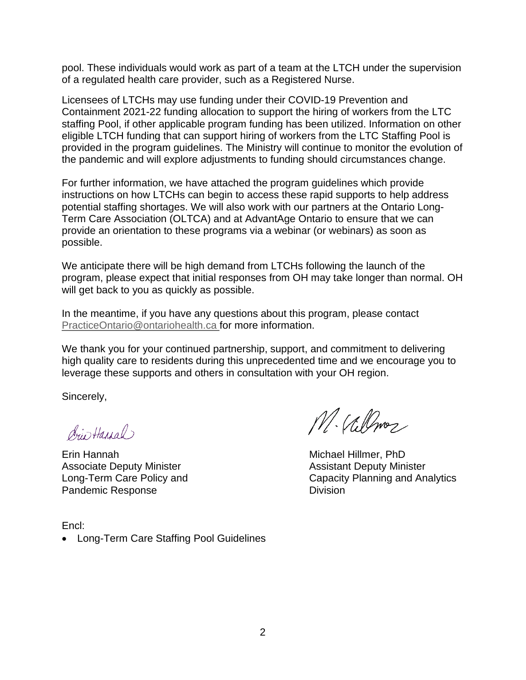pool. These individuals would work as part of a team at the LTCH under the supervision of a regulated health care provider, such as a Registered Nurse.

Licensees of LTCHs may use funding under their COVID-19 Prevention and Containment 2021-22 funding allocation to support the hiring of workers from the LTC staffing Pool, if other applicable program funding has been utilized. Information on other eligible LTCH funding that can support hiring of workers from the LTC Staffing Pool is provided in the program guidelines. The Ministry will continue to monitor the evolution of the pandemic and will explore adjustments to funding should circumstances change.

For further information, we have attached the program guidelines which provide instructions on how LTCHs can begin to access these rapid supports to help address potential staffing shortages. We will also work with our partners at the Ontario Long-Term Care Association (OLTCA) and at AdvantAge Ontario to ensure that we can provide an orientation to these programs via a webinar (or webinars) as soon as possible.

We anticipate there will be high demand from LTCHs following the launch of the program, please expect that initial responses from OH may take longer than normal. OH will get back to you as quickly as possible.

In the meantime, if you have any questions about this program, please contact [PracticeOntario@ontariohealth.ca](mailto:PracticeOntario@ontariohealth.ca) for more information.

We thank you for your continued partnership, support, and commitment to delivering high quality care to residents during this unprecedented time and we encourage you to leverage these supports and others in consultation with your OH region.

Sincerely,

driv Haugh)

Erin Hannah Michael Hillmer, PhD Associate Deputy Minister **Associate Deputy Minister** Assistant Deputy Minister Pandemic Response Division

M. Villmez

Long-Term Care Policy and Capacity Planning and Analytics

Encl: • Long-Term Care Staffing Pool Guidelines